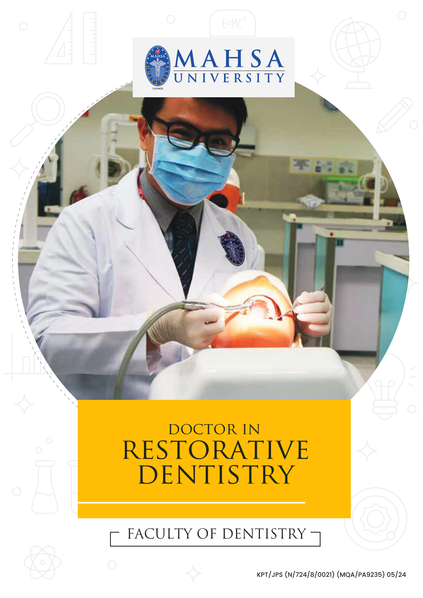

# DOCTOR IN **RESTORATIVE** DENTISTRY

FACULTY OF DENTISTRY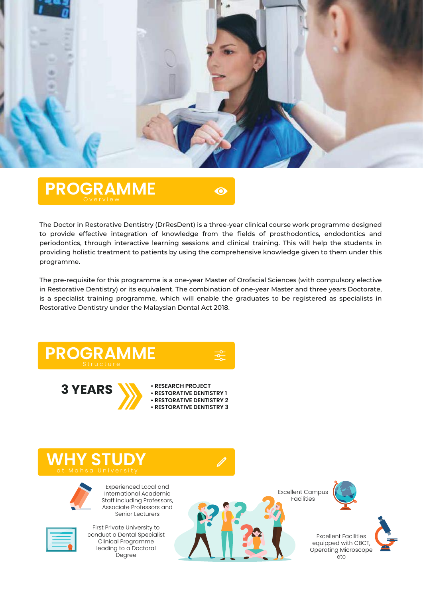

**PROGRAMME**

 $\bullet$ 

The Doctor in Restorative Dentistry (DrResDent) is a three-year clinical course work programme designed to provide effective integration of knowledge from the fields of prosthodontics, endodontics and periodontics, through interactive learning sessions and clinical training. This will help the students in providing holistic treatment to patients by using the comprehensive knowledge given to them under this programme.

The pre-requisite for this programme is a one-year Master of Orofacial Sciences (with compulsory elective in Restorative Dentistry) or its equivalent. The combination of one-year Master and three years Doctorate, is a specialist training programme, which will enable the graduates to be registered as specialists in Restorative Dentistry under the Malaysian Dental Act 2018.







Experienced Local and International Academic Staff including Professors, Associate Professors and

Senior Lecturers

Excellent Campus Facilities



Excellent Facilities equipped with CBCT, Operating Microscope etc



First Private University to conduct a Dental Specialist Clinical Programme leading to a Doctoral Degree



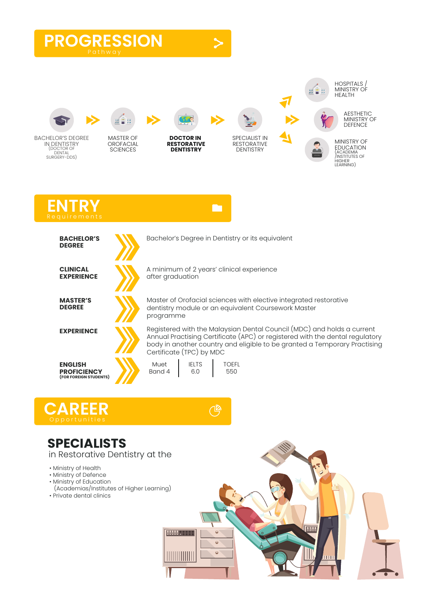